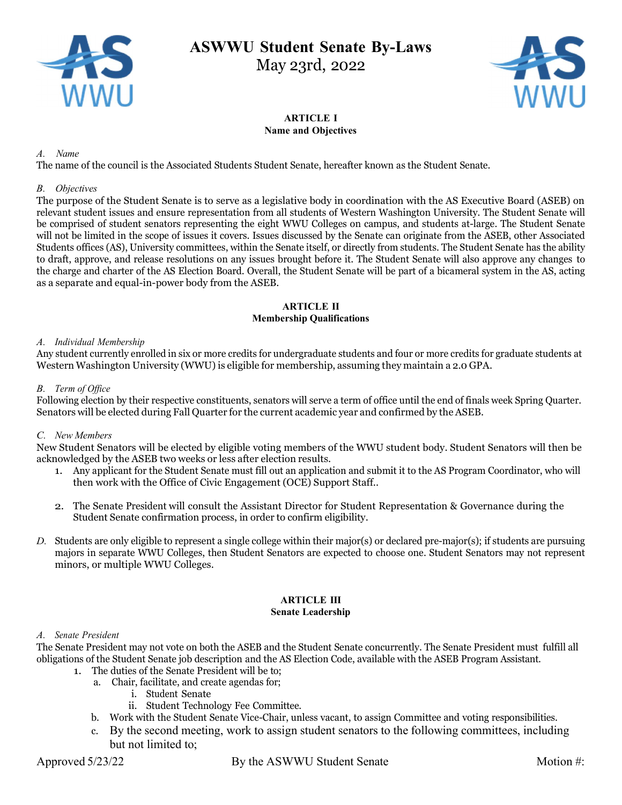

# ASWWU Student Senate By-Laws

May 23rd, 2022



#### ARTICLE I Name and Objectives

#### A. Name

The name of the council is the Associated Students Student Senate, hereafter known as the Student Senate.

#### B. Objectives

The purpose of the Student Senate is to serve as a legislative body in coordination with the AS Executive Board (ASEB) on relevant student issues and ensure representation from all students of Western Washington University. The Student Senate will be comprised of student senators representing the eight WWU Colleges on campus, and students at-large. The Student Senate will not be limited in the scope of issues it covers. Issues discussed by the Senate can originate from the ASEB, other Associated Students offices (AS), University committees, within the Senate itself, or directly from students. The Student Senate has the ability to draft, approve, and release resolutions on any issues brought before it. The Student Senate will also approve any changes to the charge and charter of the AS Election Board. Overall, the Student Senate will be part of a bicameral system in the AS, acting as a separate and equal-in-power body from the ASEB.

#### ARTICLE II Membership Qualifications

#### A. Individual Membership

Any student currently enrolled in six or more credits for undergraduate students and four or more credits for graduate students at Western Washington University (WWU) is eligible for membership, assuming they maintain a 2.0 GPA.

#### B. Term of Office

Following election by their respective constituents, senators will serve a term of office until the end of finals week Spring Quarter. Senators will be elected during Fall Quarter for the current academic year and confirmed by the ASEB.

## C. New Members

New Student Senators will be elected by eligible voting members of the WWU student body. Student Senators will then be acknowledged by the ASEB two weeks or less after election results.

- 1. Any applicant for the Student Senate must fill out an application and submit it to the AS Program Coordinator, who will then work with the Office of Civic Engagement (OCE) Support Staff..
- 2. The Senate President will consult the Assistant Director for Student Representation & Governance during the Student Senate confirmation process, in order to confirm eligibility.
- D. Students are only eligible to represent a single college within their major(s) or declared pre-major(s); if students are pursuing majors in separate WWU Colleges, then Student Senators are expected to choose one. Student Senators may not represent minors, or multiple WWU Colleges.

## ARTICLE III

#### Senate Leadership

#### A. Senate President

The Senate President may not vote on both the ASEB and the Student Senate concurrently. The Senate President must fulfill all obligations of the Student Senate job description and the AS Election Code, available with the ASEB Program Assistant.

- 1. The duties of the Senate President will be to;
	- a. Chair, facilitate, and create agendas for;
		- i. Student Senate
		- ii. Student Technology Fee Committee.
	- b. Work with the Student Senate Vice-Chair, unless vacant, to assign Committee and voting responsibilities.
	- c. By the second meeting, work to assign student senators to the following committees, including but not limited to;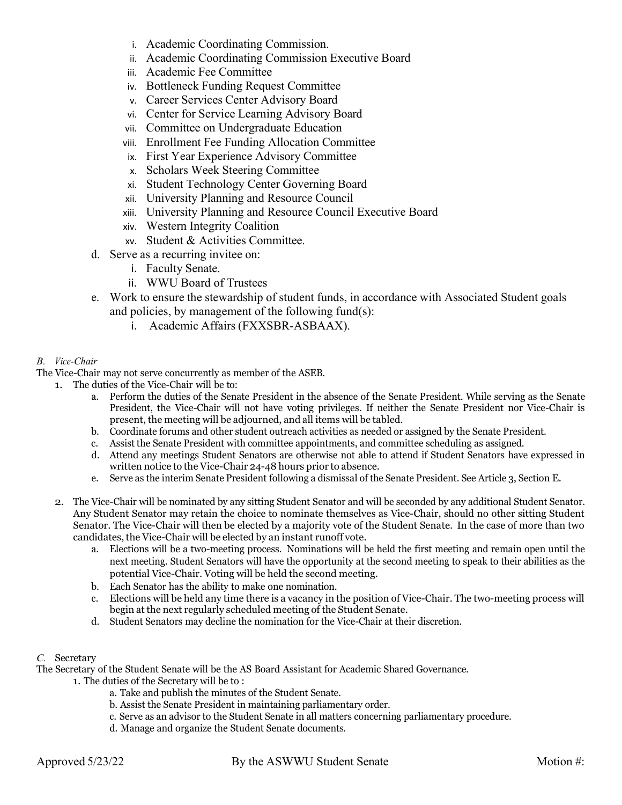- i. Academic Coordinating Commission.
- ii. Academic Coordinating Commission Executive Board
- iii. Academic Fee Committee
- iv. Bottleneck Funding Request Committee
- v. Career Services Center Advisory Board
- vi. Center for Service Learning Advisory Board
- vii. Committee on Undergraduate Education
- viii. Enrollment Fee Funding Allocation Committee
- ix. First Year Experience Advisory Committee
- x. Scholars Week Steering Committee
- xi. Student Technology Center Governing Board
- xii. University Planning and Resource Council
- xiii. University Planning and Resource Council Executive Board
- xiv. Western Integrity Coalition
- xv. Student & Activities Committee.
- d. Serve as a recurring invitee on:
	- i. Faculty Senate.
	- ii. WWU Board of Trustees
- e. Work to ensure the stewardship of student funds, in accordance with Associated Student goals and policies, by management of the following fund(s):
	- i. Academic Affairs (FXXSBR-ASBAAX).

#### B. Vice-Chair

The Vice-Chair may not serve concurrently as member of the ASEB.

- 1. The duties of the Vice-Chair will be to:
	- a. Perform the duties of the Senate President in the absence of the Senate President. While serving as the Senate President, the Vice-Chair will not have voting privileges. If neither the Senate President nor Vice-Chair is present, the meeting will be adjourned, and all items will be tabled.
	- b. Coordinate forums and other student outreach activities as needed or assigned by the Senate President.
	- c. Assist the Senate President with committee appointments, and committee scheduling as assigned.
	- d. Attend any meetings Student Senators are otherwise not able to attend if Student Senators have expressed in written notice to the Vice-Chair 24-48 hours prior to absence.
	- e. Serve as the interim Senate President following a dismissal of the Senate President. See Article 3, Section E.
- 2. The Vice-Chair will be nominated by any sitting Student Senator and will be seconded by any additional Student Senator. Any Student Senator may retain the choice to nominate themselves as Vice-Chair, should no other sitting Student Senator. The Vice-Chair will then be elected by a majority vote of the Student Senate. In the case of more than two candidates, the Vice-Chair will be elected by an instant runoff vote.
	- a. Elections will be a two-meeting process. Nominations will be held the first meeting and remain open until the next meeting. Student Senators will have the opportunity at the second meeting to speak to their abilities as the potential Vice-Chair. Voting will be held the second meeting.
	- b. Each Senator has the ability to make one nomination.
	- c. Elections will be held any time there is a vacancy in the position of Vice-Chair. The two-meeting process will begin at the next regularly scheduled meeting of the Student Senate.
	- d. Student Senators may decline the nomination for the Vice-Chair at their discretion.

## C. Secretary

The Secretary of the Student Senate will be the AS Board Assistant for Academic Shared Governance.

- 1. The duties of the Secretary will be to :
	- a. Take and publish the minutes of the Student Senate.
	- b. Assist the Senate President in maintaining parliamentary order.
	- c. Serve as an advisor to the Student Senate in all matters concerning parliamentary procedure.
	- d. Manage and organize the Student Senate documents.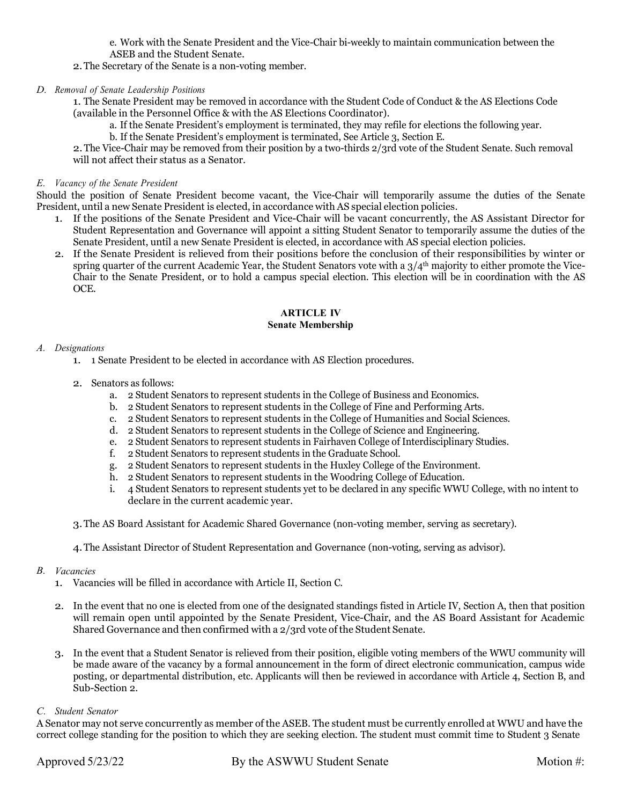e. Work with the Senate President and the Vice-Chair bi-weekly to maintain communication between the ASEB and the Student Senate.

2.The Secretary of the Senate is a non-voting member.

D. Removal of Senate Leadership Positions

1. The Senate President may be removed in accordance with the Student Code of Conduct & the AS Elections Code (available in the Personnel Office & with the AS Elections Coordinator).

- a. If the Senate President's employment is terminated, they may refile for elections the following year.
- b. If the Senate President's employment is terminated, See Article 3, Section E.

2.The Vice-Chair may be removed from their position by a two-thirds 2/3rd vote of the Student Senate. Such removal will not affect their status as a Senator.

### E. Vacancy of the Senate President

Should the position of Senate President become vacant, the Vice-Chair will temporarily assume the duties of the Senate President, until a new Senate President is elected, in accordance with AS special election policies.

- 1. If the positions of the Senate President and Vice-Chair will be vacant concurrently, the AS Assistant Director for Student Representation and Governance will appoint a sitting Student Senator to temporarily assume the duties of the Senate President, until a new Senate President is elected, in accordance with AS special election policies.
- 2. If the Senate President is relieved from their positions before the conclusion of their responsibilities by winter or spring quarter of the current Academic Year, the Student Senators vote with a  $3/4<sup>th</sup>$  majority to either promote the Vice-Chair to the Senate President, or to hold a campus special election. This election will be in coordination with the AS OCE.

#### ARTICLE IV Senate Membership

#### A. Designations

- 1. 1 Senate President to be elected in accordance with AS Election procedures.
- 2. Senators as follows:
	- a. 2 Student Senators to represent students in the College of Business and Economics.
	- b. 2 Student Senators to represent students in the College of Fine and Performing Arts.
	- c. 2 Student Senators to represent students in the College of Humanities and Social Sciences.
	- d. 2 Student Senators to represent students in the College of Science and Engineering.
	- e. 2 Student Senators to represent students in Fairhaven College of Interdisciplinary Studies.
	- f. 2 Student Senators to represent students in the Graduate School.
	- g. 2 Student Senators to represent students in the Huxley College of the Environment.
	- h. 2 Student Senators to represent students in the Woodring College of Education.
	- i. 4 Student Senators to represent students yet to be declared in any specific WWU College, with no intent to declare in the current academic year.
- 3.The AS Board Assistant for Academic Shared Governance (non-voting member, serving as secretary).
- 4.The Assistant Director of Student Representation and Governance (non-voting, serving as advisor).

#### B. Vacancies

- 1. Vacancies will be filled in accordance with Article II, Section C.
- 2. In the event that no one is elected from one of the designated standings fisted in Article IV, Section A, then that position will remain open until appointed by the Senate President, Vice-Chair, and the AS Board Assistant for Academic Shared Governance and then confirmed with a 2/3rd vote of the Student Senate.
- 3. In the event that a Student Senator is relieved from their position, eligible voting members of the WWU community will be made aware of the vacancy by a formal announcement in the form of direct electronic communication, campus wide posting, or departmental distribution, etc. Applicants will then be reviewed in accordance with Article 4, Section B, and Sub-Section 2.

#### C. Student Senator

A Senator may not serve concurrently as member of the ASEB. The student must be currently enrolled at WWU and have the correct college standing for the position to which they are seeking election. The student must commit time to Student 3 Senate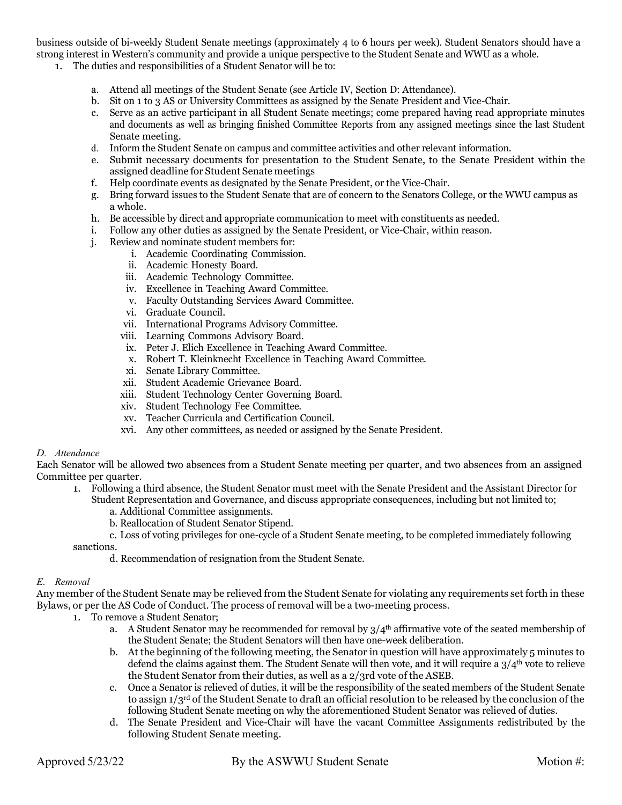business outside of bi-weekly Student Senate meetings (approximately 4 to 6 hours per week). Student Senators should have a strong interest in Western's community and provide a unique perspective to the Student Senate and WWU as a whole.

- 1. The duties and responsibilities of a Student Senator will be to:
	- a. Attend all meetings of the Student Senate (see Article IV, Section D: Attendance).
	- b. Sit on 1 to 3 AS or University Committees as assigned by the Senate President and Vice-Chair.
	- c. Serve as an active participant in all Student Senate meetings; come prepared having read appropriate minutes and documents as well as bringing finished Committee Reports from any assigned meetings since the last Student Senate meeting.
	- d. Inform the Student Senate on campus and committee activities and other relevant information.
	- e. Submit necessary documents for presentation to the Student Senate, to the Senate President within the assigned deadline for Student Senate meetings
	- f. Help coordinate events as designated by the Senate President, or the Vice-Chair.
	- g. Bring forward issues to the Student Senate that are of concern to the Senators College, or the WWU campus as a whole.
	- h. Be accessible by direct and appropriate communication to meet with constituents as needed.
	- i. Follow any other duties as assigned by the Senate President, or Vice-Chair, within reason.
	- j. Review and nominate student members for:
		- i. Academic Coordinating Commission.
		- ii. Academic Honesty Board.
		- iii. Academic Technology Committee.
		- iv. Excellence in Teaching Award Committee.
		- v. Faculty Outstanding Services Award Committee.
		- vi. Graduate Council.
		- vii. International Programs Advisory Committee.
		- viii. Learning Commons Advisory Board.
		- ix. Peter J. Elich Excellence in Teaching Award Committee.
		- x. Robert T. Kleinknecht Excellence in Teaching Award Committee.
		- xi. Senate Library Committee.
		- xii. Student Academic Grievance Board.
		- xiii. Student Technology Center Governing Board.
		- xiv. Student Technology Fee Committee.
		- xv. Teacher Curricula and Certification Council.
		- xvi. Any other committees, as needed or assigned by the Senate President.

#### D. Attendance

Each Senator will be allowed two absences from a Student Senate meeting per quarter, and two absences from an assigned Committee per quarter.

- 1. Following a third absence, the Student Senator must meet with the Senate President and the Assistant Director for
	- Student Representation and Governance, and discuss appropriate consequences, including but not limited to;
		- a. Additional Committee assignments.
		- b. Reallocation of Student Senator Stipend.

c. Loss of voting privileges for one-cycle of a Student Senate meeting, to be completed immediately following sanctions.

d. Recommendation of resignation from the Student Senate.

#### E. Removal

Any member of the Student Senate may be relieved from the Student Senate for violating any requirements set forth in these Bylaws, or per the AS Code of Conduct. The process of removal will be a two-meeting process.

- 1. To remove a Student Senator:
	- a. A Student Senator may be recommended for removal by  $3/4<sup>th</sup>$  affirmative vote of the seated membership of the Student Senate; the Student Senators will then have one-week deliberation.
	- b. At the beginning of the following meeting, the Senator in question will have approximately 5 minutes to defend the claims against them. The Student Senate will then vote, and it will require a  $3/4<sup>th</sup>$  vote to relieve the Student Senator from their duties, as well as a 2/3rd vote of the ASEB.
	- c. Once a Senator is relieved of duties, it will be the responsibility of the seated members of the Student Senate to assign  $1/3^{rd}$  of the Student Senate to draft an official resolution to be released by the conclusion of the following Student Senate meeting on why the aforementioned Student Senator was relieved of duties.
	- d. The Senate President and Vice-Chair will have the vacant Committee Assignments redistributed by the following Student Senate meeting.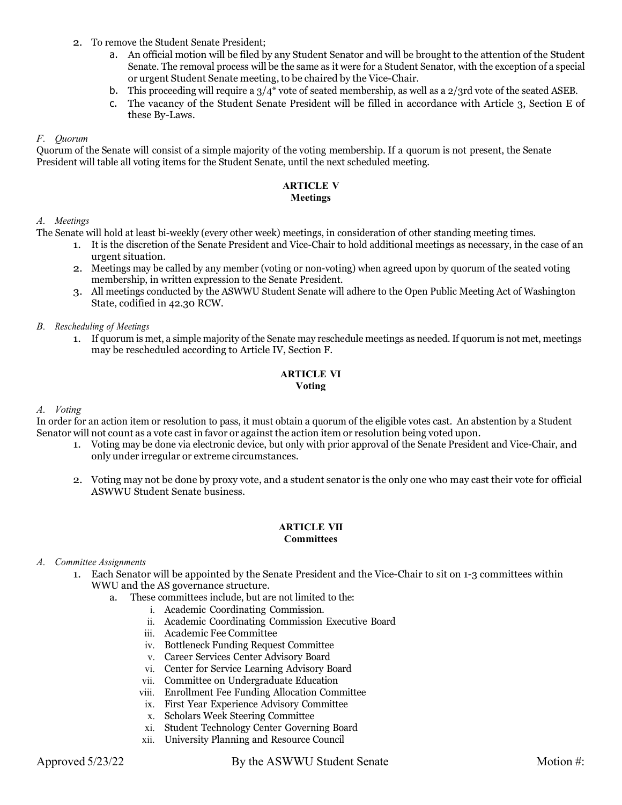- 2. To remove the Student Senate President;
	- a. An official motion will be filed by any Student Senator and will be brought to the attention of the Student Senate. The removal process will be the same as it were for a Student Senator, with the exception of a special or urgent Student Senate meeting, to be chaired by the Vice-Chair.
	- b. This proceeding will require a  $3/4^*$  vote of seated membership, as well as a  $2/3$ rd vote of the seated ASEB.
	- c. The vacancy of the Student Senate President will be filled in accordance with Article 3, Section E of these By-Laws.

#### F. Quorum

Quorum of the Senate will consist of a simple majority of the voting membership. If a quorum is not present, the Senate President will table all voting items for the Student Senate, until the next scheduled meeting.

#### ARTICLE V Meetings

#### A. Meetings

The Senate will hold at least bi-weekly (every other week) meetings, in consideration of other standing meeting times.

- 1. It is the discretion of the Senate President and Vice-Chair to hold additional meetings as necessary, in the case of an urgent situation.
- 2. Meetings may be called by any member (voting or non-voting) when agreed upon by quorum of the seated voting membership, in written expression to the Senate President.
- 3. All meetings conducted by the ASWWU Student Senate will adhere to the Open Public Meeting Act of Washington State, codified in 42.30 RCW.

#### B. Rescheduling of Meetings

1. If quorum is met, a simple majority of the Senate may reschedule meetings as needed. If quorum is not met, meetings may be rescheduled according to Article IV, Section F.

#### ARTICLE VI Voting

#### A. Voting

In order for an action item or resolution to pass, it must obtain a quorum of the eligible votes cast. An abstention by a Student Senator will not count as a vote cast in favor or against the action item or resolution being voted upon.

- 1. Voting may be done via electronic device, but only with prior approval of the Senate President and Vice-Chair, and only under irregular or extreme circumstances.
- 2. Voting may not be done by proxy vote, and a student senator is the only one who may cast their vote for official ASWWU Student Senate business.

#### ARTICLE VII **Committees**

#### A. Committee Assignments

- 1. Each Senator will be appointed by the Senate President and the Vice-Chair to sit on 1-3 committees within WWU and the AS governance structure.
	- a. These committees include, but are not limited to the:
		- i. Academic Coordinating Commission.
		- ii. Academic Coordinating Commission Executive Board
		- iii. Academic Fee Committee
		- iv. Bottleneck Funding Request Committee
		- v. Career Services Center Advisory Board
		- vi. Center for Service Learning Advisory Board
		- vii. Committee on Undergraduate Education
		- viii. Enrollment Fee Funding Allocation Committee
		- ix. First Year Experience Advisory Committee
		- x. Scholars Week Steering Committee
		- xi. Student Technology Center Governing Board
		- xii. University Planning and Resource Council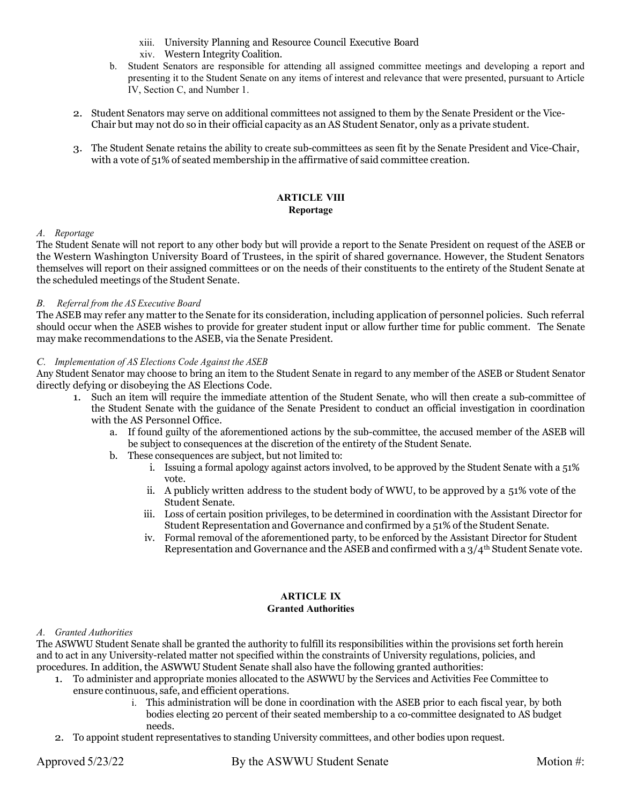- xiii. University Planning and Resource Council Executive Board
- xiv. Western Integrity Coalition.
- b. Student Senators are responsible for attending all assigned committee meetings and developing a report and presenting it to the Student Senate on any items of interest and relevance that were presented, pursuant to Article IV, Section C, and Number 1.
- 2. Student Senators may serve on additional committees not assigned to them by the Senate President or the Vice-Chair but may not do so in their official capacity as an AS Student Senator, only as a private student.
- 3. The Student Senate retains the ability to create sub-committees as seen fit by the Senate President and Vice-Chair, with a vote of 51% of seated membership in the affirmative of said committee creation.

### ARTICLE VIII Reportage

#### A. Reportage

The Student Senate will not report to any other body but will provide a report to the Senate President on request of the ASEB or the Western Washington University Board of Trustees, in the spirit of shared governance. However, the Student Senators themselves will report on their assigned committees or on the needs of their constituents to the entirety of the Student Senate at the scheduled meetings of the Student Senate.

#### B. Referral from the AS Executive Board

The ASEB may refer any matter to the Senate for its consideration, including application of personnel policies. Such referral should occur when the ASEB wishes to provide for greater student input or allow further time for public comment. The Senate may make recommendations to the ASEB, via the Senate President.

#### C. Implementation of AS Elections Code Against the ASEB

Any Student Senator may choose to bring an item to the Student Senate in regard to any member of the ASEB or Student Senator directly defying or disobeying the AS Elections Code.

- 1. Such an item will require the immediate attention of the Student Senate, who will then create a sub-committee of the Student Senate with the guidance of the Senate President to conduct an official investigation in coordination with the AS Personnel Office.
	- a. If found guilty of the aforementioned actions by the sub-committee, the accused member of the ASEB will be subject to consequences at the discretion of the entirety of the Student Senate.
	- b. These consequences are subject, but not limited to:
		- i. Issuing a formal apology against actors involved, to be approved by the Student Senate with a 51% vote.
		- ii. A publicly written address to the student body of WWU, to be approved by a 51% vote of the Student Senate.
		- iii. Loss of certain position privileges, to be determined in coordination with the Assistant Director for Student Representation and Governance and confirmed by a 51% of the Student Senate.
		- iv. Formal removal of the aforementioned party, to be enforced by the Assistant Director for Student Representation and Governance and the ASEB and confirmed with a  $3/4<sup>th</sup>$  Student Senate vote.

## ARTICLE IX

## Granted Authorities

## A. Granted Authorities

The ASWWU Student Senate shall be granted the authority to fulfill its responsibilities within the provisions set forth herein and to act in any University-related matter not specified within the constraints of University regulations, policies, and procedures. In addition, the ASWWU Student Senate shall also have the following granted authorities:

- 1. To administer and appropriate monies allocated to the ASWWU by the Services and Activities Fee Committee to ensure continuous, safe, and efficient operations.
	- i. This administration will be done in coordination with the ASEB prior to each fiscal year, by both bodies electing 20 percent of their seated membership to a co-committee designated to AS budget needs.
- 2. To appoint student representatives to standing University committees, and other bodies upon request.